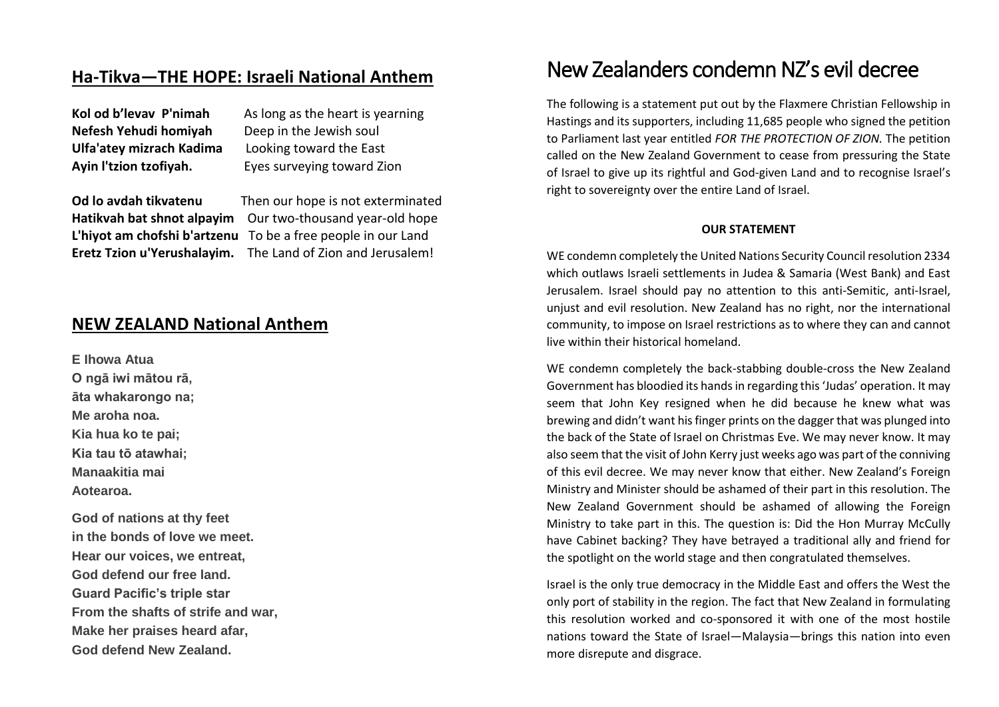## **Ha-Tikva—THE HOPE: Israeli National Anthem**

| Kol od b'levav P'nimah   | As long as the heart is yearning |
|--------------------------|----------------------------------|
| Nefesh Yehudi homiyah    | Deep in the Jewish soul          |
| Ulfa'atey mizrach Kadima | Looking toward the East          |
| Ayin l'tzion tzofiyah.   | Eyes surveying toward Zion       |

**Od lo avdah tikvatenu** Then our hope is not exterminated **Hatikvah bat shnot alpayim** Our two-thousand year-old hope **L'hiyot am chofshi b'artzenu** To be a free people in our Land **Eretz Tzion u'Yerushalayim.** The Land of Zion and Jerusalem!

## **NEW ZEALAND National Anthem**

**E Ihowa Atua O ngā iwi mātou rā, āta whakarongo na; Me aroha noa. Kia hua ko te pai; Kia tau tō atawhai; Manaakitia mai Aotearoa.**

**God of nations at thy feet in the bonds of love we meet. Hear our voices, we entreat, God defend our free land. Guard Pacific's triple star From the shafts of strife and war, Make her praises heard afar, God defend New Zealand.**

# New Zealanders condemn NZ's evil decree

The following is a statement put out by the Flaxmere Christian Fellowship in Hastings and its supporters, including 11,685 people who signed the petition to Parliament last year entitled *FOR THE PROTECTION OF ZION.* The petition called on the New Zealand Government to cease from pressuring the State of Israel to give up its rightful and God-given Land and to recognise Israel's right to sovereignty over the entire Land of Israel.

#### **OUR STATEMENT**

WE condemn completely the United Nations Security Council resolution 2334 which outlaws Israeli settlements in Judea & Samaria (West Bank) and East Jerusalem. Israel should pay no attention to this anti-Semitic, anti-Israel, unjust and evil resolution. New Zealand has no right, nor the international community, to impose on Israel restrictions as to where they can and cannot live within their historical homeland.

WE condemn completely the back-stabbing double-cross the New Zealand Government has bloodied its hands in regarding this 'Judas' operation. It may seem that John Key resigned when he did because he knew what was brewing and didn't want his finger prints on the dagger that was plunged into the back of the State of Israel on Christmas Eve. We may never know. It may also seem that the visit of John Kerry just weeks ago was part of the conniving of this evil decree. We may never know that either. New Zealand's Foreign Ministry and Minister should be ashamed of their part in this resolution. The New Zealand Government should be ashamed of allowing the Foreign Ministry to take part in this. The question is: Did the Hon Murray McCully have Cabinet backing? They have betrayed a traditional ally and friend for the spotlight on the world stage and then congratulated themselves.

Israel is the only true democracy in the Middle East and offers the West the only port of stability in the region. The fact that New Zealand in formulating this resolution worked and co-sponsored it with one of the most hostile nations toward the State of Israel—Malaysia—brings this nation into even more disrepute and disgrace.